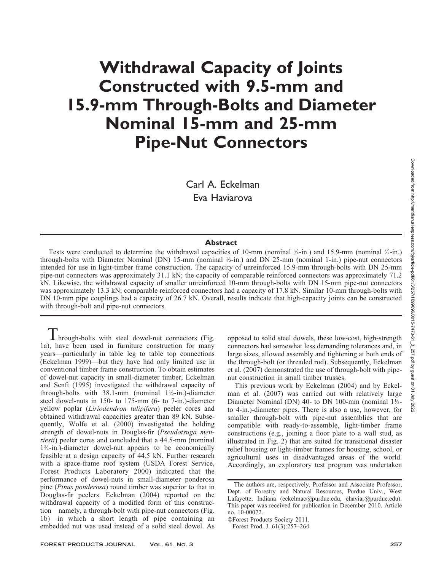# Withdrawal Capacity of Joints Constructed with 9.5-mm and 15.9-mm Through-Bolts and Diameter Nominal 15-mm and 25-mm Pipe-Nut Connectors

Carl A. Eckelman Eva Haviarova

## **Abstract**

Tests were conducted to determine the withdrawal capacities of 10-mm (nominal  $\frac{1}{2}$ -in.) and 15.9-mm (nominal  $\frac{5}{2}$ -in.) through-bolts with Diameter Nominal (DN) 15-mm (nominal ½-in.) and DN 25-mm (nominal 1-in.) pipe-nut connectors intended for use in light-timber frame construction. The capacity of unreinforced 15.9-mm through-bolts with DN 25-mm pipe-nut connectors was approximately 31.1 kN; the capacity of comparable reinforced connectors was approximately 71.2 kN. Likewise, the withdrawal capacity of smaller unreinforced 10-mm through-bolts with DN 15-mm pipe-nut connectors was approximately 13.3 kN; comparable reinforced connectors had a capacity of 17.8 kN. Similar 10-mm through-bolts with DN 10-mm pipe couplings had a capacity of 26.7 kN. Overall, results indicate that high-capacity joints can be constructed with through-bolt and pipe-nut connectors.

**1** hrough-bolts with steel dowel-nut connectors (Fig. 1a), have been used in furniture construction for many years—particularly in table leg to table top connections (Eckelman 1999)—but they have had only limited use in conventional timber frame construction. To obtain estimates of dowel-nut capacity in small-diameter timber, Eckelman and Senft (1995) investigated the withdrawal capacity of through-bolts with 38.1-mm (nominal 1½-in.)-diameter steel dowel-nuts in 150- to 175-mm (6- to 7-in.)-diameter yellow poplar (Liriodendron tulipifera) peeler cores and obtained withdrawal capacities greater than 89 kN. Subsequently, Wolfe et al. (2000) investigated the holding strength of dowel-nuts in Douglas-fir (Pseudotsuga menziesii) peeler cores and concluded that a 44.5-mm (nominal  $1\frac{3}{4}$ -in.)-diameter dowel-nut appears to be economically feasible at a design capacity of 44.5 kN. Further research with a space-frame roof system (USDA Forest Service, Forest Products Laboratory 2000) indicated that the performance of dowel-nuts in small-diameter ponderosa pine (Pinus ponderosa) round timber was superior to that in Douglas-fir peelers. Eckelman (2004) reported on the withdrawal capacity of a modified form of this construction—namely, a through-bolt with pipe-nut connectors (Fig. 1b)—in which a short length of pipe containing an embedded nut was used instead of a solid steel dowel. As

opposed to solid steel dowels, these low-cost, high-strength connectors had somewhat less demanding tolerances and, in large sizes, allowed assembly and tightening at both ends of the through-bolt (or threaded rod). Subsequently, Eckelman et al. (2007) demonstrated the use of through-bolt with pipenut construction in small timber trusses.

This previous work by Eckelman (2004) and by Eckelman et al. (2007) was carried out with relatively large Diameter Nominal (DN) 40- to DN 100-mm (nominal 1½ to 4-in.)-diameter pipes. There is also a use, however, for smaller through-bolt with pipe-nut assemblies that are compatible with ready-to-assemble, light-timber frame constructions (e.g., joining a floor plate to a wall stud, as illustrated in Fig. 2) that are suited for transitional disaster relief housing or light-timber frames for housing, school, or agricultural uses in disadvantaged areas of the world. Accordingly, an exploratory test program was undertaken

The authors are, respectively, Professor and Associate Professor, Dept. of Forestry and Natural Resources, Purdue Univ., West Lafayette, Indiana (eckelmac@purdue.edu, ehaviar@purdue.edu). This paper was received for publication in December 2010. Article no. 10-00072.

<sup>-</sup>Forest Products Society 2011.

Forest Prod. J. 61(3):257–264.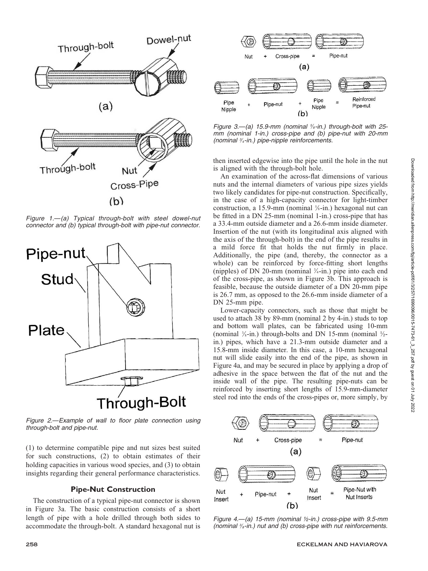

Figure 1.—(a) Typical through-bolt with steel dowel-nut connector and (b) typical through-bolt with pipe-nut connector.



Figure 2.—Example of wall to floor plate connection using through-bolt and pipe-nut.

(1) to determine compatible pipe and nut sizes best suited for such constructions, (2) to obtain estimates of their holding capacities in various wood species, and (3) to obtain insights regarding their general performance characteristics.

# Pipe-Nut Construction

The construction of a typical pipe-nut connector is shown in Figure 3a. The basic construction consists of a short length of pipe with a hole drilled through both sides to accommodate the through-bolt. A standard hexagonal nut is



Figure 3.—(a) 15.9-mm (nominal  $\frac{5}{6}$ -in.) through-bolt with 25mm (nominal 1-in.) cross-pipe and (b) pipe-nut with 20-mm (nominal 3/4-in.) pipe-nipple reinforcements.

then inserted edgewise into the pipe until the hole in the nut is aligned with the through-bolt hole.

An examination of the across-flat dimensions of various nuts and the internal diameters of various pipe sizes yields two likely candidates for pipe-nut construction. Specifically, in the case of a high-capacity connector for light-timber construction, a 15.9-mm (nominal  $\frac{5}{6}$ -in.) hexagonal nut can be fitted in a DN 25-mm (nominal 1-in.) cross-pipe that has a 33.4-mm outside diameter and a 26.6-mm inside diameter. Insertion of the nut (with its longitudinal axis aligned with the axis of the through-bolt) in the end of the pipe results in a mild force fit that holds the nut firmly in place. Additionally, the pipe (and, thereby, the connector as a whole) can be reinforced by force-fitting short lengths (nipples) of DN 20-mm (nominal  $\frac{3}{4}$ -in.) pipe into each end of the cross-pipe, as shown in Figure 3b. This approach is feasible, because the outside diameter of a DN 20-mm pipe is 26.7 mm, as opposed to the 26.6-mm inside diameter of a DN 25-mm pipe.

Lower-capacity connectors, such as those that might be used to attach 38 by 89-mm (nominal 2 by 4-in.) studs to top and bottom wall plates, can be fabricated using 10-mm (nominal  $\frac{3}{8}$ -in.) through-bolts and DN 15-mm (nominal  $\frac{1}{2}$ in.) pipes, which have a 21.3-mm outside diameter and a 15.8-mm inside diameter. In this case, a 10-mm hexagonal nut will slide easily into the end of the pipe, as shown in Figure 4a, and may be secured in place by applying a drop of adhesive in the space between the flat of the nut and the inside wall of the pipe. The resulting pipe-nuts can be reinforced by inserting short lengths of 15.9-mm-diameter steel rod into the ends of the cross-pipes or, more simply, by



Figure 4.-(a) 15-mm (nominal  $\frac{1}{2}$ -in.) cross-pipe with 9.5-mm (nominal  $\frac{3}{5}$ -in.) nut and (b) cross-pipe with nut reinforcements.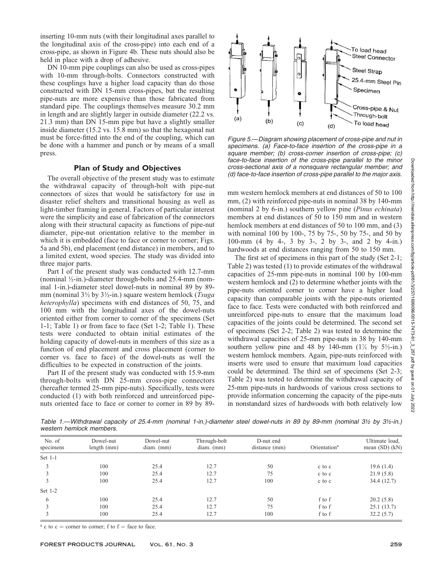inserting 10-mm nuts (with their longitudinal axes parallel to the longitudinal axis of the cross-pipe) into each end of a cross-pipe, as shown in Figure 4b. These nuts should also be held in place with a drop of adhesive.

DN 10-mm pipe couplings can also be used as cross-pipes with 10-mm through-bolts. Connectors constructed with these couplings have a higher load capacity than do those constructed with DN 15-mm cross-pipes, but the resulting pipe-nuts are more expensive than those fabricated from standard pipe. The couplings themselves measure 30.2 mm in length and are slightly larger in outside diameter (22.2 vs. 21.3 mm) than DN 15-mm pipe but have a slightly smaller inside diameter (15.2 vs. 15.8 mm) so that the hexagonal nut must be force-fitted into the end of the coupling, which can be done with a hammer and punch or by means of a small press.

#### Plan of Study and Objectives

The overall objective of the present study was to estimate the withdrawal capacity of through-bolt with pipe-nut connectors of sizes that would be satisfactory for use in disaster relief shelters and transitional housing as well as light-timber framing in general. Factors of particular interest were the simplicity and ease of fabrication of the connectors along with their structural capacity as functions of pipe-nut diameter, pipe-nut orientation relative to the member in which it is embedded (face to face or corner to corner; Figs. 5a and 5b), end placement (end distance) in members, and to a limited extent, wood species. The study was divided into three major parts.

Part I of the present study was conducted with 12.7-mm (nominal  $\frac{1}{2}$ -in.)-diameter through-bolts and 25.4-mm (nominal 1-in.)-diameter steel dowel-nuts in nominal 89 by 89 mm (nominal  $3\frac{1}{2}$  by  $3\frac{1}{2}$ -in.) square western hemlock (*Tsuga* heterophylla) specimens with end distances of 50, 75, and 100 mm with the longitudinal axes of the dowel-nuts oriented either from corner to corner of the specimens (Set 1-1; Table 1) or from face to face (Set 1-2; Table 1). These tests were conducted to obtain initial estimates of the holding capacity of dowel-nuts in members of this size as a function of end placement and cross placement (corner to corner vs. face to face) of the dowel-nuts as well the difficulties to be expected in construction of the joints.

Part II of the present study was conducted with 15.9-mm through-bolts with DN 25-mm cross-pipe connectors (hereafter termed 25-mm pipe-nuts). Specifically, tests were conducted (1) with both reinforced and unreinforced pipenuts oriented face to face or corner to corner in 89 by 89-



Figure 5.—Diagram showing placement of cross-pipe and nut in specimens. (a) Face-to-face insertion of the cross-pipe in a square member; (b) cross-corner insertion of cross-pipe; (c) face-to-face insertion of the cross-pipe parallel to the minor cross-sectional axis of a nonsquare rectangular member; and (d) face-to-face insertion of cross-pipe parallel to the major axis.

mm western hemlock members at end distances of 50 to 100 mm, (2) with reinforced pipe-nuts in nominal 38 by 140-mm (nominal 2 by 6-in.) southern yellow pine (Pinus echinata) members at end distances of 50 to 150 mm and in western hemlock members at end distances of 50 to 100 mm, and (3) with nominal 100 by 100-, 75 by 75-, 50 by 75-, and 50 by 100-mm (4 by 4-, 3 by 3-, 2 by 3-, and 2 by 4-in.) hardwoods at end distances ranging from 50 to 150 mm.

The first set of specimens in this part of the study (Set 2-1; Table 2) was tested (1) to provide estimates of the withdrawal capacities of 25-mm pipe-nuts in nominal 100 by 100-mm western hemlock and (2) to determine whether joints with the pipe-nuts oriented corner to corner have a higher load capacity than comparable joints with the pipe-nuts oriented face to face. Tests were conducted with both reinforced and unreinforced pipe-nuts to ensure that the maximum load capacities of the joints could be determined. The second set of specimens (Set 2-2; Table 2) was tested to determine the withdrawal capacities of 25-mm pipe-nuts in 38 by 140-mm southern yellow pine and 48 by 140-mm  $(1\%$  by  $5\frac{1}{2}$ -in.) western hemlock members. Again, pipe-nuts reinforced with inserts were used to ensure that maximum load capacities could be determined. The third set of specimens (Set 2-3; Table 2) was tested to determine the withdrawal capacity of 25-mm pipe-nuts in hardwoods of various cross sections to provide information concerning the capacity of the pipe-nuts in nonstandard sizes of hardwoods with both relatively low

Table 1.—Withdrawal capacity of 25.4-mm (nominal 1-in.)-diameter steel dowel-nuts in 89 by 89-mm (nominal 3½ by 3½-in.) western hemlock members.

| No. of<br>specimens | Dowel-nut<br>length $(mm)$ | Dowel-nut<br>$diam.$ (mm) | Through-bolt<br>$diam.$ (mm) | D-nut end<br>distance (mm) | Orientation <sup>a</sup> | Ultimate load,<br>mean $(SD)$ $(kN)$ |
|---------------------|----------------------------|---------------------------|------------------------------|----------------------------|--------------------------|--------------------------------------|
| Set 1-1             |                            |                           |                              |                            |                          |                                      |
|                     | 100                        | 25.4                      | 12.7                         | 50                         | c to c                   | 19.6(1.4)                            |
|                     | 100                        | 25.4                      | 12.7                         | 75                         | c to c                   | 21.9(5.8)                            |
|                     | 100                        | 25.4                      | 12.7                         | 100                        | c to c                   | 34.4 (12.7)                          |
| Set $1-2$           |                            |                           |                              |                            |                          |                                      |
| 6                   | 100                        | 25.4                      | 12.7                         | 50                         | f to f                   | 20.2(5.8)                            |
|                     | 100                        | 25.4                      | 12.7                         | 75                         | f to f                   | 25.1(13.7)                           |
|                     | 100                        | 25.4                      | 12.7                         | 100                        | f to f                   | 32.2(5.7)                            |

<sup>a</sup> c to c = corner to corner; f to  $f =$  face to face.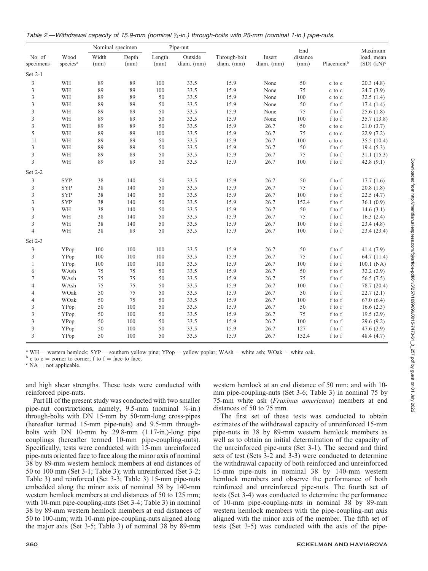| Table 2.—Withdrawal capacity of 15.9-mm (nominal %-in.) through-bolts with 25-mm (nominal 1-in.) pipe-nuts. |  |  |  |  |
|-------------------------------------------------------------------------------------------------------------|--|--|--|--|
|                                                                                                             |  |  |  |  |

| No. of<br>specimens | Wood<br>species <sup>a</sup> | Nominal specimen |               | Pipe-nut       |                       |                            |                        | End              |                                      | Maximum                       |
|---------------------|------------------------------|------------------|---------------|----------------|-----------------------|----------------------------|------------------------|------------------|--------------------------------------|-------------------------------|
|                     |                              | Width<br>(mm)    | Depth<br>(mm) | Length<br>(mm) | Outside<br>diam. (mm) | Through-bolt<br>diam. (mm) | Insert<br>$diam.$ (mm) | distance<br>(mm) | Placement <sup>b</sup>               | load, mean<br>$(SD)$ $(kN)^c$ |
| Set 2-1             |                              |                  |               |                |                       |                            |                        |                  |                                      |                               |
| $\mathfrak{Z}$      | WH                           | 89               | 89            | 100            | 33.5                  | 15.9                       | None                   | 50               | c to c                               | 20.3(4.8)                     |
| $\mathfrak{Z}$      | WH                           | 89               | 89            | 100            | 33.5                  | 15.9                       | None                   | 75               | c to c                               | 24.7(3.9)                     |
| 3                   | WH                           | 89               | 89            | 50             | 33.5                  | 15.9                       | None                   | 100              | c to c                               | 32.5(1.4)                     |
| 3                   | WH                           | 89               | 89            | 50             | 33.5                  | 15.9                       | None                   | 50               | f to f                               | 17.4(1.4)                     |
| 3                   | WH                           | 89               | 89            | 50             | 33.5                  | 15.9                       | None                   | 75               | f to f                               | 25.6(1.8)                     |
| $\mathfrak{Z}$      | WH                           | 89               | 89            | 50             | 33.5                  | 15.9                       | None                   | 100              | f to f                               | 35.7(13.8)                    |
| $\sqrt{3}$          | WH                           | 89               | 89            | 50             | 33.5                  | 15.9                       | 26.7                   | 50               | c to c                               | 21.0(3.7)                     |
| 5                   | WH                           | 89               | 89            | 100            | 33.5                  | 15.9                       | 26.7                   | 75               | c to c                               | 22.9(7.2)                     |
| 11                  | WH                           | 89               | 89            | 50             | 33.5                  | 15.9                       | 26.7                   | 100              | c to c                               | 35.5(10.4)                    |
| 3                   | WH                           | 89               | 89            | 50             | 33.5                  | 15.9                       | 26.7                   | 50               | f to f                               | 19.4(5.3)                     |
| $\overline{3}$      | WH                           | 89               | 89            | 50             | 33.5                  | 15.9                       | 26.7                   | 75               | f to f                               | 31.1(15.3)                    |
| 3                   | WH                           | 89               | 89            | 50             | 33.5                  | 15.9                       | 26.7                   | 100              | f to f                               | 42.8 $(9.1)$                  |
| Set 2-2             |                              |                  |               |                |                       |                            |                        |                  |                                      |                               |
| 3                   | <b>SYP</b>                   | 38               | 140           | 50             | 33.5                  | 15.9                       | 26.7                   | 50               | f to f                               | 17.7(1.6)                     |
| 3                   | <b>SYP</b>                   | 38               | 140           | 50             | 33.5                  | 15.9                       | 26.7                   | 75               | f to f                               | 20.8(1.8)                     |
| $\mathfrak{Z}$      | <b>SYP</b>                   | 38               | 140           | 50             | 33.5                  | 15.9                       | 26.7                   | 100              | f to f                               | 22.5(4.7)                     |
| 3                   | <b>SYP</b>                   | 38               | 140           | 50             | 33.5                  | 15.9                       | 26.7                   | 152.4            | f to f                               | 36.1(0.9)                     |
| $\mathfrak{Z}$      | WH                           | 38               | 140           | 50             | 33.5                  | 15.9                       | 26.7                   | 50               | f to f                               | 14.6(3.1)                     |
| 3                   | WH                           | 38               | 140           | 50             | 33.5                  | 15.9                       | 26.7                   | 75               | f to f                               | 16.3(2.4)                     |
| $\mathfrak{Z}$      | WH                           | 38               | 140           | 50             | 33.5                  | 15.9                       | 26.7                   | 100              | f to f                               | 23.4(4.8)                     |
| $\overline{4}$      | WH                           | 38               | 89            | 50             | 33.5                  | 15.9                       | 26.7                   | 100              | f to f                               | 23.4 (23.4)                   |
| Set 2-3             |                              |                  |               |                |                       |                            |                        |                  |                                      |                               |
| 3                   | YPop                         | 100              | 100           | 100            | 33.5                  | 15.9                       | 26.7                   | 50               | f to f                               | 41.4(7.9)                     |
| 3                   | YPop                         | 100              | 100           | 100            | 33.5                  | 15.9                       | 26.7                   | 75               | f to f                               | 64.7(11.4)                    |
| $\mathbf{1}$        | YPop                         | $100\,$          | 100           | $100\,$        | 33.5                  | 15.9                       | 26.7                   | 100              | f to f                               | $100.1$ (NA)                  |
| 6                   | WAsh                         | $75\,$           | 75            | 50             | 33.5                  | 15.9                       | 26.7                   | 50               | $\boldsymbol{f}$ to $\boldsymbol{f}$ | 32.2(2.9)                     |
| $\tau$              | WAsh                         | $75\,$           | 75            | 50             | 33.5                  | 15.9                       | 26.7                   | 75               | f to f                               | 56.5(7.5)                     |
| $\overline{4}$      | WAsh                         | $75\,$           | 75            | 50             | 33.5                  | 15.9                       | 26.7                   | 100              | f to f                               | 78.7 (20.4)                   |
| $\overline{4}$      | WOak                         | 50               | 75            | 50             | 33.5                  | 15.9                       | 26.7                   | 50               | f to f                               | 22.7(2.1)                     |
| $\overline{4}$      | WOak                         | 50               | 75            | 50             | 33.5                  | 15.9                       | 26.7                   | 100              | f to f                               | 67.0(6.4)                     |
| 3                   | YPop                         | 50               | 100           | 50             | 33.5                  | 15.9                       | 26.7                   | 50               | f to f                               | 16.6(2.3)                     |
| 3                   | YPop                         | 50               | 100           | 50             | 33.5                  | 15.9                       | 26.7                   | 75               | f to f                               | 19.5(2.9)                     |
| 3                   | YPop                         | 50               | 100           | 50             | 33.5                  | 15.9                       | 26.7                   | 100              | f to f                               | 29.6(9.2)                     |
| $\mathfrak{Z}$      | YPop                         | 50               | 100           | 50             | 33.5                  | 15.9                       | 26.7                   | 127              | f to f                               | 47.6 (2.9)                    |
| $\overline{3}$      | YPop                         | 50               | 100           | 50             | 33.5                  | 15.9                       | 26.7                   | 152.4            | f to f                               | 48.4(4.7)                     |

<sup>a</sup> WH = western hemlock; SYP = southern yellow pine; YPop = yellow poplar; WAsh = white ash; WOak = white oak.  $\frac{b}{c}$  c to c = corner to corner; f to f = face to face.

and high shear strengths. These tests were conducted with reinforced pipe-nuts.

Part III of the present study was conducted with two smaller pipe-nut constructions, namely,  $9.5$ -mm (nominal  $\frac{3}{8}$ -in.) through-bolts with DN 15-mm by 50-mm-long cross-pipes (hereafter termed 15-mm pipe-nuts) and 9.5-mm throughbolts with DN 10-mm by 29.8-mm (1.17-in.)-long pipe couplings (hereafter termed 10-mm pipe-coupling-nuts). Specifically, tests were conducted with 15-mm unreinforced pipe-nuts oriented face to face along the minor axis of nominal 38 by 89-mm western hemlock members at end distances of 50 to 100 mm (Set 3-1; Table 3); with unreinforced (Set 3-2; Table 3) and reinforced (Set 3-3; Table 3) 15-mm pipe-nuts embedded along the minor axis of nominal 38 by 140-mm western hemlock members at end distances of 50 to 125 mm; with 10-mm pipe-coupling-nuts (Set 3-4; Table 3) in nominal 38 by 89-mm western hemlock members at end distances of 50 to 100-mm; with 10-mm pipe-coupling-nuts aligned along the major axis (Set 3-5; Table 3) of nominal 38 by 89-mm western hemlock at an end distance of 50 mm; and with 10 mm pipe-coupling-nuts (Set 3-6; Table 3) in nominal 75 by 75-mm white ash (Fraxinus americana) members at end distances of 50 to 75 mm.

The first set of these tests was conducted to obtain estimates of the withdrawal capacity of unreinforced 15-mm pipe-nuts in 38 by 89-mm western hemlock members as well as to obtain an initial determination of the capacity of the unreinforced pipe-nuts (Set 3-1). The second and third sets of test (Sets 3-2 and 3-3) were conducted to determine the withdrawal capacity of both reinforced and unreinforced 15-mm pipe-nuts in nominal 38 by 140-mm western hemlock members and observe the performance of both reinforced and unreinforced pipe-nuts. The fourth set of tests (Set 3-4) was conducted to determine the performance of 10-mm pipe-coupling-nuts in nominal 38 by 89-mm western hemlock members with the pipe-coupling-nut axis aligned with the minor axis of the member. The fifth set of tests (Set 3-5) was conducted with the axis of the pipe-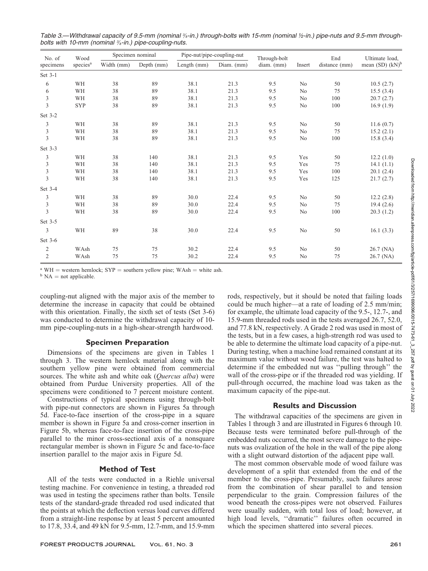| No. of<br>specimens         | Wood                 | Specimen nominal |            | Pipe-nut/pipe-coupling-nut |            | Through-bolt |                | End           | Ultimate load,       |
|-----------------------------|----------------------|------------------|------------|----------------------------|------------|--------------|----------------|---------------|----------------------|
|                             | species <sup>a</sup> | Width (mm)       | Depth (mm) | Length (mm)                | Diam. (mm) | diam. (mm)   | Insert         | distance (mm) | mean $(SD)$ $(kN)^b$ |
| Set 3-1                     |                      |                  |            |                            |            |              |                |               |                      |
| 6                           | WH                   | 38               | 89         | 38.1                       | 21.3       | 9.5          | No             | 50            | 10.5(2.7)            |
| 6                           | WH                   | 38               | 89         | 38.1                       | 21.3       | 9.5          | N <sub>0</sub> | 75            | 15.5(3.4)            |
| $\mathfrak{Z}$              | WH                   | 38               | 89         | 38.1                       | 21.3       | 9.5          | No             | 100           | 20.7(2.7)            |
| $\overline{\mathbf{3}}$     | <b>SYP</b>           | 38               | 89         | 38.1                       | 21.3       | 9.5          | No             | 100           | 16.9(1.9)            |
| Set 3-2                     |                      |                  |            |                            |            |              |                |               |                      |
| 3                           | WH                   | 38               | 89         | 38.1                       | 21.3       | 9.5          | No             | 50            | 11.6(0.7)            |
| $\ensuremath{\mathfrak{Z}}$ | WH                   | 38               | 89         | 38.1                       | 21.3       | 9.5          | No             | 75            | 15.2(2.1)            |
| $\overline{3}$              | WH                   | 38               | 89         | 38.1                       | 21.3       | 9.5          | No             | 100           | 15.8(3.4)            |
| Set 3-3                     |                      |                  |            |                            |            |              |                |               |                      |
| 3                           | WH                   | 38               | 140        | 38.1                       | 21.3       | 9.5          | Yes            | 50            | 12.2(1.0)            |
| $\ensuremath{\mathfrak{Z}}$ | WH                   | 38               | 140        | 38.1                       | 21.3       | 9.5          | Yes            | 75            | 14.1(1.1)            |
| $\mathfrak{Z}$              | WH                   | 38               | 140        | 38.1                       | 21.3       | 9.5          | Yes            | 100           | 20.1(2.4)            |
| $\overline{3}$              | WH                   | 38               | 140        | 38.1                       | 21.3       | 9.5          | Yes            | 125           | 21.7(2.7)            |
| Set 3-4                     |                      |                  |            |                            |            |              |                |               |                      |
| 3                           | WH                   | 38               | 89         | 30.0                       | 22.4       | 9.5          | No             | 50            | 12.2(2.8)            |
| $\ensuremath{\mathfrak{Z}}$ | WH                   | 38               | 89         | 30.0                       | 22.4       | 9.5          | N <sub>0</sub> | 75            | 19.4(2.6)            |
| $\overline{3}$              | WH                   | 38               | 89         | 30.0                       | 22.4       | 9.5          | N <sub>0</sub> | 100           | 20.3(1.2)            |
| Set 3-5                     |                      |                  |            |                            |            |              |                |               |                      |
| 3                           | WH                   | 89               | 38         | 30.0                       | 22.4       | 9.5          | No             | 50            | 16.1(3.3)            |
| Set 3-6                     |                      |                  |            |                            |            |              |                |               |                      |
| $\overline{2}$              | WAsh                 | 75               | 75         | 30.2                       | 22.4       | 9.5          | No             | 50            | 26.7 (NA)            |
| $\overline{2}$              | WAsh                 | 75               | 75         | 30.2                       | 22.4       | 9.5          | N <sub>0</sub> | 75            | $26.7$ (NA)          |

Table 3.—Withdrawal capacity of 9.5-mm (nominal ‰-in.) through-bolts with 15-mm (nominal ½-in.) pipe-nuts and 9.5-mm throughbolts with 10-mm (nominal <sup>3</sup>/<sub>8</sub>-in.) pipe-coupling-nuts.

<sup>a</sup> WH = western hemlock; SYP = southern yellow pine; WAsh = white ash.  ${}^{\text{b}}$  NA = not applicable.

coupling-nut aligned with the major axis of the member to determine the increase in capacity that could be obtained with this orientation. Finally, the sixth set of tests (Set 3-6) was conducted to determine the withdrawal capacity of 10 mm pipe-coupling-nuts in a high-shear-strength hardwood.

## Specimen Preparation

Dimensions of the specimens are given in Tables 1 through 3. The western hemlock material along with the southern yellow pine were obtained from commercial sources. The white ash and white oak (*Quercus alba*) were obtained from Purdue University properties. All of the specimens were conditioned to 7 percent moisture content.

Constructions of typical specimens using through-bolt with pipe-nut connectors are shown in Figures 5a through 5d. Face-to-face insertion of the cross-pipe in a square member is shown in Figure 5a and cross-corner insertion in Figure 5b, whereas face-to-face insertion of the cross-pipe parallel to the minor cross-sectional axis of a nonsquare rectangular member is shown in Figure 5c and face-to-face insertion parallel to the major axis in Figure 5d.

## Method of Test

All of the tests were conducted in a Riehle universal testing machine. For convenience in testing, a threaded rod was used in testing the specimens rather than bolts. Tensile tests of the standard-grade threaded rod used indicated that the points at which the deflection versus load curves differed from a straight-line response by at least 5 percent amounted to 17.8, 33.4, and 49 kN for 9.5-mm, 12.7-mm, and 15.9-mm

FOREST PRODUCTS JOURNAL Vol. 61, No. 3 261

rods, respectively, but it should be noted that failing loads could be much higher—at a rate of loading of 2.5 mm/min; for example, the ultimate load capacity of the 9.5-, 12.7-, and 15.9-mm threaded rods used in the tests averaged 26.7, 52.0, and 77.8 kN, respectively. A Grade 2 rod was used in most of the tests, but in a few cases, a high-strength rod was used to be able to determine the ultimate load capacity of a pipe-nut. During testing, when a machine load remained constant at its maximum value without wood failure, the test was halted to determine if the embedded nut was ''pulling through'' the wall of the cross-pipe or if the threaded rod was yielding. If pull-through occurred, the machine load was taken as the maximum capacity of the pipe-nut.

## Results and Discussion

The withdrawal capacities of the specimens are given in Tables 1 through 3 and are illustrated in Figures 6 through 10. Because tests were terminated before pull-through of the embedded nuts occurred, the most severe damage to the pipenuts was ovalization of the hole in the wall of the pipe along with a slight outward distortion of the adjacent pipe wall.

The most common observable mode of wood failure was development of a split that extended from the end of the member to the cross-pipe. Presumably, such failures arose from the combination of shear parallel to and tension perpendicular to the grain. Compression failures of the wood beneath the cross-pipes were not observed. Failures were usually sudden, with total loss of load; however, at high load levels, ''dramatic'' failures often occurred in which the specimen shattered into several pieces.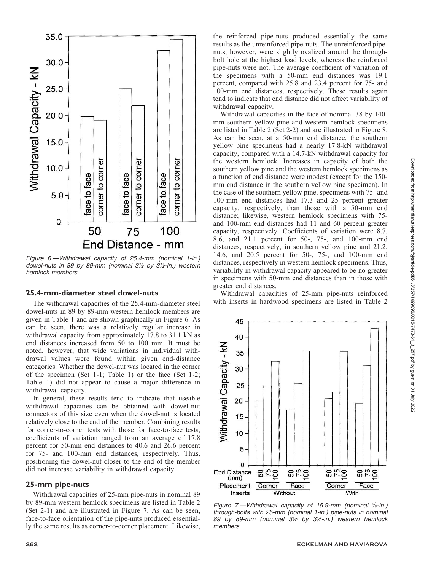

Figure 6.—Withdrawal capacity of 25.4-mm (nominal 1-in.) dowel-nuts in 89 by 89-mm (nominal 3½ by 3½-in.) western hemlock members.

## 25.4-mm-diameter steel dowel-nuts

The withdrawal capacities of the 25.4-mm-diameter steel dowel-nuts in 89 by 89-mm western hemlock members are given in Table 1 and are shown graphically in Figure 6. As can be seen, there was a relatively regular increase in withdrawal capacity from approximately 17.8 to 31.1 kN as end distances increased from 50 to 100 mm. It must be noted, however, that wide variations in individual withdrawal values were found within given end-distance categories. Whether the dowel-nut was located in the corner of the specimen (Set 1-1; Table 1) or the face (Set 1-2; Table 1) did not appear to cause a major difference in withdrawal capacity.

In general, these results tend to indicate that useable withdrawal capacities can be obtained with dowel-nut connectors of this size even when the dowel-nut is located relatively close to the end of the member. Combining results for corner-to-corner tests with those for face-to-face tests, coefficients of variation ranged from an average of 17.8 percent for 50-mm end distances to 40.6 and 26.6 percent for 75- and 100-mm end distances, respectively. Thus, positioning the dowel-nut closer to the end of the member did not increase variability in withdrawal capacity.

#### 25-mm pipe-nuts

Withdrawal capacities of 25-mm pipe-nuts in nominal 89 by 89-mm western hemlock specimens are listed in Table 2 (Set 2-1) and are illustrated in Figure 7. As can be seen, face-to-face orientation of the pipe-nuts produced essentially the same results as corner-to-corner placement. Likewise,

the reinforced pipe-nuts produced essentially the same results as the unreinforced pipe-nuts. The unreinforced pipenuts, however, were slightly ovalized around the throughbolt hole at the highest load levels, whereas the reinforced pipe-nuts were not. The average coefficient of variation of the specimens with a 50-mm end distances was 19.1 percent, compared with 25.8 and 23.4 percent for 75- and 100-mm end distances, respectively. These results again tend to indicate that end distance did not affect variability of withdrawal capacity.

Withdrawal capacities in the face of nominal 38 by 140 mm southern yellow pine and western hemlock specimens are listed in Table 2 (Set 2-2) and are illustrated in Figure 8. As can be seen, at a 50-mm end distance, the southern yellow pine specimens had a nearly 17.8-kN withdrawal capacity, compared with a 14.7-kN withdrawal capacity for the western hemlock. Increases in capacity of both the southern yellow pine and the western hemlock specimens as a function of end distance were modest (except for the 150 mm end distance in the southern yellow pine specimen). In the case of the southern yellow pine, specimens with 75- and 100-mm end distances had 17.3 and 25 percent greater capacity, respectively, than those with a 50-mm end distance; likewise, western hemlock specimens with 75 and 100-mm end distances had 11 and 60 percent greater capacity, respectively. Coefficients of variation were 8.7, 8.6, and 21.1 percent for 50-, 75-, and 100-mm end distances, respectively, in southern yellow pine and 21.2, 14.6, and 20.5 percent for 50-, 75-, and 100-mm end distances, respectively in western hemlock specimens. Thus, variability in withdrawal capacity appeared to be no greater in specimens with 50-mm end distances than in those with greater end distances.

Withdrawal capacities of 25-mm pipe-nuts reinforced with inserts in hardwood specimens are listed in Table 2



Figure 7.—Withdrawal capacity of 15.9-mm (nominal  $\frac{5}{6}$ -in.) through-bolts with 25-mm (nominal 1-in.) pipe-nuts in nominal 89 by 89-mm (nominal 3½ by 3½-in.) western hemlock members.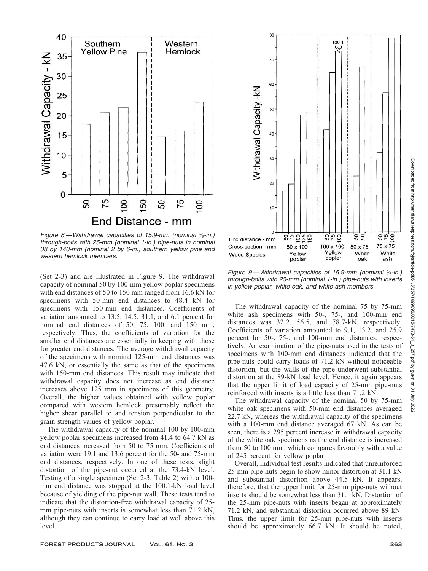

Figure 8.—Withdrawal capacities of 15.9-mm (nominal  $\frac{5}{6}$ -in.) through-bolts with 25-mm (nominal 1-in.) pipe-nuts in nominal 38 by 140-mm (nominal 2 by 6-in.) southern yellow pine and western hemlock members.

(Set 2-3) and are illustrated in Figure 9. The withdrawal capacity of nominal 50 by 100-mm yellow poplar specimens with end distances of 50 to 150 mm ranged from 16.6 kN for specimens with 50-mm end distances to 48.4 kN for specimens with 150-mm end distances. Coefficients of variation amounted to 13.5, 14.5, 31.1, and 6.1 percent for nominal end distances of 50, 75, 100, and 150 mm, respectively. Thus, the coefficients of variation for the smaller end distances are essentially in keeping with those for greater end distances. The average withdrawal capacity of the specimens with nominal 125-mm end distances was 47.6 kN, or essentially the same as that of the specimens with 150-mm end distances. This result may indicate that withdrawal capacity does not increase as end distance increases above 125 mm in specimens of this geometry. Overall, the higher values obtained with yellow poplar compared with western hemlock presumably reflect the higher shear parallel to and tension perpendicular to the grain strength values of yellow poplar.

The withdrawal capacity of the nominal 100 by 100-mm yellow poplar specimens increased from 41.4 to 64.7 kN as end distances increased from 50 to 75 mm. Coefficients of variation were 19.1 and 13.6 percent for the 50- and 75-mm end distances, respectively. In one of these tests, slight distortion of the pipe-nut occurred at the 73.4-kN level. Testing of a single specimen (Set 2-3; Table 2) with a 100 mm end distance was stopped at the 100.1-kN load level because of yielding of the pipe-nut wall. These tests tend to indicate that the distortion-free withdrawal capacity of 25 mm pipe-nuts with inserts is somewhat less than 71.2 kN, although they can continue to carry load at well above this level.



Figure 9.—Withdrawal capacities of 15.9-mm (nominal 5/8-in.) through-bolts with 25-mm (nominal 1-in.) pipe-nuts with inserts in yellow poplar, white oak, and white ash members.

The withdrawal capacity of the nominal 75 by 75-mm white ash specimens with 50-, 75-, and 100-mm end distances was 32.2, 56.5, and 78.7-kN, respectively. Coefficients of variation amounted to 9.1, 13.2, and 25.9 percent for 50-, 75-, and 100-mm end distances, respectively. An examination of the pipe-nuts used in the tests of specimens with 100-mm end distances indicated that the pipe-nuts could carry loads of 71.2 kN without noticeable distortion, but the walls of the pipe underwent substantial distortion at the 89-kN load level. Hence, it again appears that the upper limit of load capacity of 25-mm pipe-nuts reinforced with inserts is a little less than 71.2 kN.

The withdrawal capacity of the nominal 50 by 75-mm white oak specimens with 50-mm end distances averaged 22.7 kN, whereas the withdrawal capacity of the specimens with a 100-mm end distance averaged 67 kN. As can be seen, there is a 295 percent increase in withdrawal capacity of the white oak specimens as the end distance is increased from 50 to 100 mm, which compares favorably with a value of 245 percent for yellow poplar.

Overall, individual test results indicated that unreinforced 25-mm pipe-nuts begin to show minor distortion at 31.1 kN and substantial distortion above 44.5 kN. It appears, therefore, that the upper limit for 25-mm pipe-nuts without inserts should be somewhat less than 31.1 kN. Distortion of the 25-mm pipe-nuts with inserts began at approximately 71.2 kN, and substantial distortion occurred above 89 kN. Thus, the upper limit for 25-mm pipe-nuts with inserts should be approximately 66.7 kN. It should be noted,